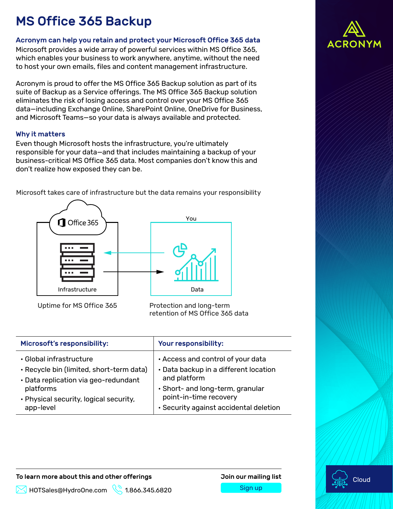# MS Office 365 Backup

### Acronym can help you retain and protect your Microsoft Office 365 data

Microsoft provides a wide array of powerful services within MS Office 365, which enables your business to work anywhere, anytime, without the need to host your own emails, files and content management infrastructure.

Acronym is proud to offer the MS Office 365 Backup solution as part of its suite of Backup as a Service offerings. The MS Office 365 Backup solution eliminates the risk of losing access and control over your MS Office 365 data—including Exchange Online, SharePoint Online, OneDrive for Business, and Microsoft Teams—so your data is always available and protected.

### Why it matters

Even though Microsoft hosts the infrastructure, you're ultimately responsible for your data—and that includes maintaining a backup of your business-critical MS Office 365 data. Most companies don't know this and don't realize how exposed they can be.

Microsoft takes care of infrastructure but the data remains your responsibility



Uptime for MS Office 365 Protection and long-term retention of MS Office 365 data

| Microsoft's responsibility:              | Your responsibility:                   |
|------------------------------------------|----------------------------------------|
| • Global infrastructure                  | . Access and control of your data      |
| • Recycle bin (limited, short-term data) | • Data backup in a different location  |
| · Data replication via geo-redundant     | and platform                           |
| platforms                                | · Short- and long-term, granular       |
| • Physical security, logical security,   | point-in-time recovery                 |
| app-level                                | • Security against accidental deletion |